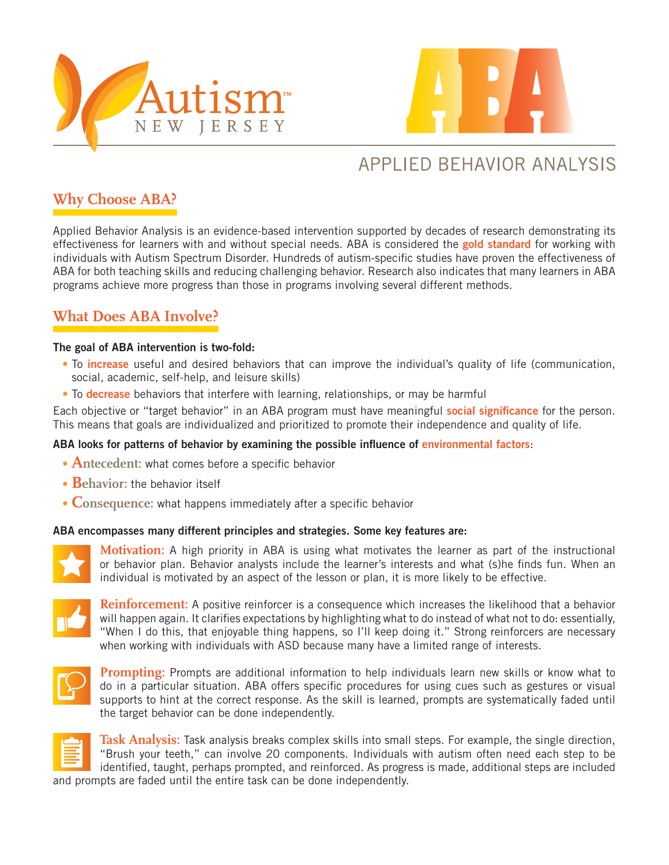



# APPLIED BEHAVIOR ANALYSIS

### **Why Choose ABA?**

Applied Behavior Analysis is an evidence-based intervention supported by decades of research demonstrating its effectiveness for learners with and without special needs. ABA is considered the gold standard for working with individuals with Autism Spectrum Disorder. Hundreds of autism-specific studies have proven the effectiveness of ABA for both teaching skills and reducing challenging behavior. Research also indicates that many learners in ABA programs achieve more progress than those in programs involving several different methods.

### **What Does ABA Involve?**

#### The goal of ABA intervention is two-fold:

- To *increase* useful and desired behaviors that can improve the individual's quality of life (communication, social, academic, self-help, and leisure skills)
- To decrease behaviors that interfere with learning, relationships, or may be harmful

Each objective or "target behavior" in an ABA program must have meaningful social significance for the person. This means that goals are individualized and prioritized to promote their independence and quality of life.

#### ABA looks for patterns of behavior by examining the possible influence of environmental factors:

- Antecedent: what comes before a specific behavior
- **Behavior:** the behavior itself
- Consequence: what happens immediately after a specific behavior

#### ABA encompasses many different principles and strategies. Some key features are:



**Motivation:** A high priority in ABA is using what motivates the learner as part of the instructional or behavior plan. Behavior analysts include the learner's interests and what (s)he finds fun. When an individual is motivated by an aspect of the lesson or plan, it is more likely to be effective.



**Reinforcement:** A positive reinforcer is a consequence which increases the likelihood that a behavior will happen again. It clarifies expectations by highlighting what to do instead of what not to do: essentially, "When I do this, that enjoyable thing happens, so I'll keep doing it." Strong reinforcers are necessary when working with individuals with ASD because many have a limited range of interests.



**Prompting:** Prompts are additional information to help individuals learn new skills or know what to do in a particular situation. ABA offers specific procedures for using cues such as gestures or visual supports to hint at the correct response. As the skill is learned, prompts are systematically faded until the target behavior can be done independently.



**Task Analysis:** Task analysis breaks complex skills into small steps. For example, the single direction, "Brush your teeth," can involve 20 components. Individuals with autism often need each step to be identified, taught, perhaps prompted, and reinforced. As progress is made, additional steps are included and prompts are faded until the entire task can be done independently.